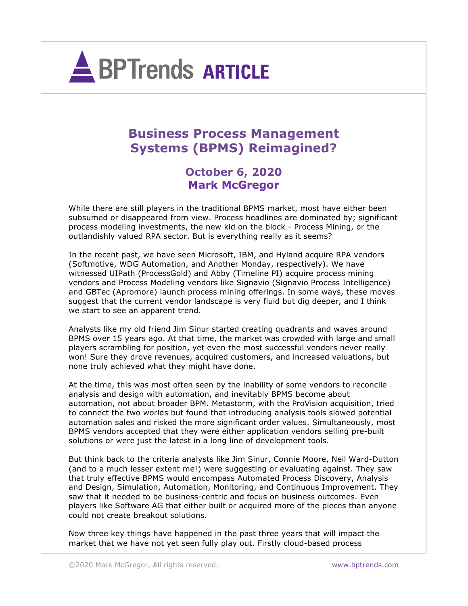

## **Business Process Management Systems (BPMS) Reimagined?**

**October 6, 2020 Mark McGregor**

While there are still players in the traditional BPMS market, most have either been subsumed or disappeared from view. Process headlines are dominated by; significant process modeling investments, the new kid on the block - Process Mining, or the outlandishly valued RPA sector. But is everything really as it seems?

In the recent past, we have seen Microsoft, IBM, and Hyland acquire RPA vendors (Softmotive, WDG Automation, and Another Monday, respectively). We have witnessed UIPath (ProcessGold) and Abby (Timeline PI) acquire process mining vendors and Process Modeling vendors like Signavio (Signavio Process Intelligence) and GBTec (Apromore) launch process mining offerings. In some ways, these moves suggest that the current vendor landscape is very fluid but dig deeper, and I think we start to see an apparent trend.

Analysts like my old friend Jim Sinur started creating quadrants and waves around BPMS over 15 years ago. At that time, the market was crowded with large and small players scrambling for position, yet even the most successful vendors never really won! Sure they drove revenues, acquired customers, and increased valuations, but none truly achieved what they might have done.

At the time, this was most often seen by the inability of some vendors to reconcile analysis and design with automation, and inevitably BPMS become about automation, not about broader BPM. Metastorm, with the ProVision acquisition, tried to connect the two worlds but found that introducing analysis tools slowed potential automation sales and risked the more significant order values. Simultaneously, most BPMS vendors accepted that they were either application vendors selling pre-built solutions or were just the latest in a long line of development tools.

But think back to the criteria analysts like Jim Sinur, Connie Moore, Neil Ward-Dutton (and to a much lesser extent me!) were suggesting or evaluating against. They saw that truly effective BPMS would encompass Automated Process Discovery, Analysis and Design, Simulation, Automation, Monitoring, and Continuous Improvement. They saw that it needed to be business-centric and focus on business outcomes. Even players like Software AG that either built or acquired more of the pieces than anyone could not create breakout solutions.

Now three key things have happened in the past three years that will impact the market that we have not yet seen fully play out. Firstly cloud-based process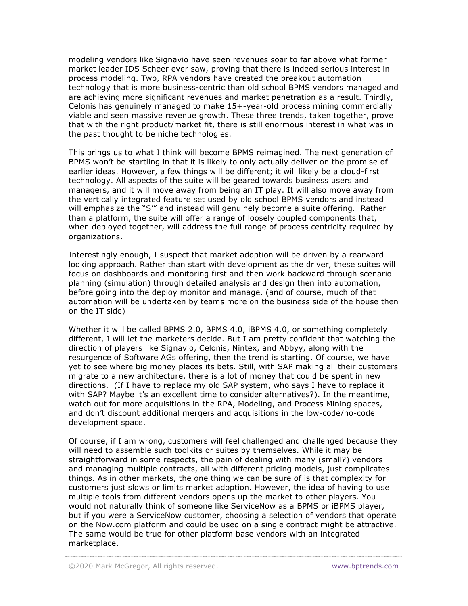modeling vendors like Signavio have seen revenues soar to far above what former market leader IDS Scheer ever saw, proving that there is indeed serious interest in process modeling. Two, RPA vendors have created the breakout automation technology that is more business-centric than old school BPMS vendors managed and are achieving more significant revenues and market penetration as a result. Thirdly, Celonis has genuinely managed to make 15+-year-old process mining commercially viable and seen massive revenue growth. These three trends, taken together, prove that with the right product/market fit, there is still enormous interest in what was in the past thought to be niche technologies.

This brings us to what I think will become BPMS reimagined. The next generation of BPMS won't be startling in that it is likely to only actually deliver on the promise of earlier ideas. However, a few things will be different; it will likely be a cloud-first technology. All aspects of the suite will be geared towards business users and managers, and it will move away from being an IT play. It will also move away from the vertically integrated feature set used by old school BPMS vendors and instead will emphasize the "S'" and instead will genuinely become a suite offering. Rather than a platform, the suite will offer a range of loosely coupled components that, when deployed together, will address the full range of process centricity required by organizations.

Interestingly enough, I suspect that market adoption will be driven by a rearward looking approach. Rather than start with development as the driver, these suites will focus on dashboards and monitoring first and then work backward through scenario planning (simulation) through detailed analysis and design then into automation, before going into the deploy monitor and manage. (and of course, much of that automation will be undertaken by teams more on the business side of the house then on the IT side)

Whether it will be called BPMS 2.0, BPMS 4.0, iBPMS 4.0, or something completely different, I will let the marketers decide. But I am pretty confident that watching the direction of players like Signavio, Celonis, Nintex, and Abbyy, along with the resurgence of Software AGs offering, then the trend is starting. Of course, we have yet to see where big money places its bets. Still, with SAP making all their customers migrate to a new architecture, there is a lot of money that could be spent in new directions. (If I have to replace my old SAP system, who says I have to replace it with SAP? Maybe it's an excellent time to consider alternatives?). In the meantime, watch out for more acquisitions in the RPA, Modeling, and Process Mining spaces, and don't discount additional mergers and acquisitions in the low-code/no-code development space.

Of course, if I am wrong, customers will feel challenged and challenged because they will need to assemble such toolkits or suites by themselves. While it may be straightforward in some respects, the pain of dealing with many (small?) vendors and managing multiple contracts, all with different pricing models, just complicates things. As in other markets, the one thing we can be sure of is that complexity for customers just slows or limits market adoption. However, the idea of having to use multiple tools from different vendors opens up the market to other players. You would not naturally think of someone like ServiceNow as a BPMS or iBPMS player, but if you were a ServiceNow customer, choosing a selection of vendors that operate on the Now.com platform and could be used on a single contract might be attractive. The same would be true for other platform base vendors with an integrated marketplace.